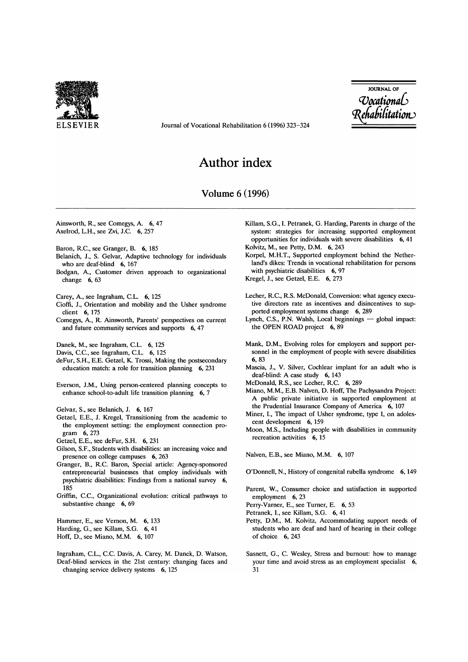

ELSEVIER Journal of Vocational Rehabilitation 6 (1996) 323-324

JOURNAL OF *'Voadioml6*   $T$ chubhthuton $\cup$ 

## **Author index**

## Volume 6 (1996)

Ainsworth, R, see Comegys, A. 6,47 Axelrod, L.H., see Zvi, J.C. 6, 257

- Baron, R.C., see Granger, B. 6, 185
- Belanich, J., S. Gelvar, Adaptive technology for individuals who are deaf-blind 6, 167
- Bodgan, A., Customer driven approach to organizational change 6, 63

Carey, A., see Ingraham, C.L. 6, 125

- Cioffi, 1., Orientation and mobility and the Usher syndrome client 6, 175
- Comegys, A., R. Ainsworth, Parents' perspectives on current and future community services and supports 6,47

Danek, M., see Ingraham, C.L. 6, 125

Davis, C.C., see Ingraham, C.L. 6, 125

- deFur, S.H., E.E. Getzel, K. Trossi, Making the postsecondary education match: a role for transition planning 6, 231
- Everson, J.M., Using person-centered planning concepts to enhance school-to-adult life transition planning 6, 7

Gelvar, S., see Belanich, J. 6, 167

Getzel, E.E., J. Kregel, Transitioning from the academic to the employment setting: the employment connection program 6,273

Getzel, E.E., see deFur, S.H. 6, 231

- Gilson, S.F., Students with disabilities: an increasing voice and presence on college campuses 6, 263
- Granger, B., RC. Baron, Special article: Agency-sponsored entrepreneurial businesses that employ individuals with psychiatric disabilities: Findings from a national survey 6, 185
- Griffin, C.C., Organizational evolution: critical pathways to substantive change 6, 69

Hammer, E., see Vernon, M. 6, 133 Harding, G., see Killam, S.G. 6,41 Hoff, D., see Miano, M.M. 6, 107

Ingraham, C.L., C.C. Davis, A. Carey, M. Danek, D. Watson, Deaf-blind services in the 21st century: changing faces and changing service delivery systems 6, 125

- Killam, S.G., I. Petranek, G. Harding, Parents in charge of the system: strategies for increasing supported employment opportunities for individuals with severe disabilities 6,41 Kolvitz, M., see Petty, D.M. 6, 243
- Korpel, M.H.T., Supported employment behind the Netherland's dikes: Trends in vocational rehabilitation for persons with psychiatric disabilities 6, 97

Kregel, J., see Getzel, E.E. 6, 273

- Lecher, R.C., R.S. McDonald, Conversion: what agency executive directors rate as incentives and disincentives to supported employment systems change 6, 289
- Lynch, C.S., P.N. Walsh, Local beginnings global impact: the OPEN ROAD project 6, 89
- Mank, D.M., Evolving roles for employers and support personnel in the employment of people with severe disabilities 6,83
- Mascia, J., V. Silver, Cochlear implant for an adult who is deaf-blind: A case study 6, 143

McDonald, R.S., see Lecher, R.C. 6, 289

- Miano, M.M., E.B. Nalven, D. Hoff, The Pachysandra Project: A public private initiative in supported employment at the Prudential Insurance Company of America 6, 107
- Miner, I., The impact of Usher syndrome, type I, on adolescent development 6, 159
- Moon, M.S., Including people with disabilities in community recreation activities 6, 15

Nalven, E.B., see Miano, M.M. 6, 107

- O'Donnell, N., History of congenital rubella syndrome 6,149
- Parent, W., Consumer choice and satisfaction in supported employment 6, 23

Perry-Varner, E., see Turner, E. 6,53

Petranek, I., see Killam, S.G. 6, 41

- Petty, D.M., M. Kolvitz, Accommodating support needs of students who are deaf and hard of hearing in their college of choice 6, 243
- Sasnett, G., C. Wesley, Stress and burnout: how to manage your time and avoid stress as an employment specialist 6, 31